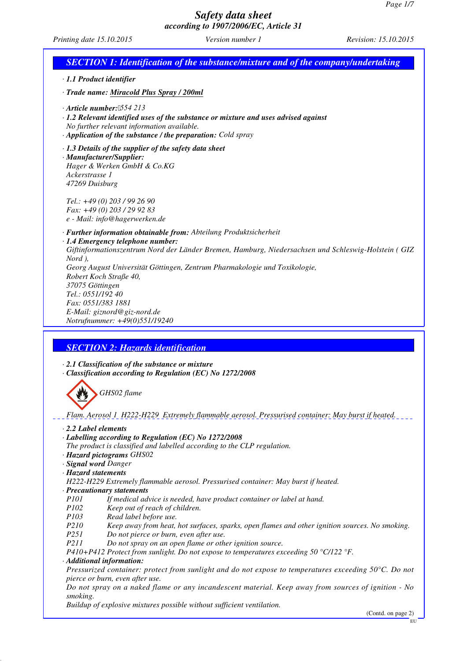*Printing date 15.10.2015 Version number 1 Revision: 15.10.2015*

| <b>SECTION 1: Identification of the substance/mixture and of the company/undertaking</b>                                                                                                                                              |
|---------------------------------------------------------------------------------------------------------------------------------------------------------------------------------------------------------------------------------------|
| · 1.1 Product identifier                                                                                                                                                                                                              |
| · Trade name: Miracold Plus Spray / 200ml                                                                                                                                                                                             |
| $\cdot$ Article number: '554 213<br>· 1.2 Relevant identified uses of the substance or mixture and uses advised against<br>No further relevant information available.<br>· Application of the substance / the preparation: Cold spray |
| $\cdot$ 1.3 Details of the supplier of the safety data sheet<br>· Manufacturer/Supplier:<br>Hager & Werken GmbH & Co.KG<br>Ackerstrasse 1<br>47269 Duisburg                                                                           |
| Tel.: $+49(0)$ 203 / 99 26 90<br>Fax: +49 (0) 203 / 29 92 83<br>e - Mail: info@hagerwerken.de                                                                                                                                         |
| · Further information obtainable from: Abteilung Produktsicherheit<br>$\cdot$ 1.4 Emergency telephone number:                                                                                                                         |
| Giftinformationszentrum Nord der Länder Bremen, Hamburg, Niedersachsen und Schleswig-Holstein (GIZ<br>Nord),                                                                                                                          |
| Georg August Universität Göttingen, Zentrum Pharmakologie und Toxikologie,<br>Robert Koch Straße 40,<br>37075 Göttingen                                                                                                               |
| Tel.: 0551/192 40                                                                                                                                                                                                                     |
| Fax: 0551/383 1881<br>E-Mail: giznord@giz-nord.de                                                                                                                                                                                     |
| Notrufnummer: +49(0)551/19240                                                                                                                                                                                                         |
|                                                                                                                                                                                                                                       |
| <b>SECTION 2: Hazards identification</b>                                                                                                                                                                                              |
|                                                                                                                                                                                                                                       |
| $\cdot$ 2.1 Classification of the substance or mixture                                                                                                                                                                                |
| · Classification according to Regulation (EC) No 1272/2008                                                                                                                                                                            |
| GHS02 flame                                                                                                                                                                                                                           |
| Flam. Aerosol 1_H222-H229_Extremely flammable aerosol. Pressurised container: May burst if heated.                                                                                                                                    |
| $\cdot$ 2.2 Label elements                                                                                                                                                                                                            |
| · Labelling according to Regulation (EC) No 1272/2008<br>The product is classified and labelled according to the CLP regulation.                                                                                                      |
| · Hazard pictograms GHS02                                                                                                                                                                                                             |
| · Signal word Danger<br>· Hazard statements                                                                                                                                                                                           |
| H222-H229 Extremely flammable aerosol. Pressurised container: May burst if heated.                                                                                                                                                    |
| · Precautionary statements<br>P <sub>101</sub>                                                                                                                                                                                        |
| If medical advice is needed, have product container or label at hand.<br>P102<br>Keep out of reach of children.                                                                                                                       |
| <i>P103</i><br>Read label before use.                                                                                                                                                                                                 |
| P210<br>Keep away from heat, hot surfaces, sparks, open flames and other ignition sources. No smoking.<br>P251<br>Do not pierce or burn, even after use.                                                                              |
| P211<br>Do not spray on an open flame or other ignition source.                                                                                                                                                                       |
| P410+P412 Protect from sunlight. Do not expose to temperatures exceeding 50 °C/122 °F.<br>· Additional information:                                                                                                                   |
| Pressurized container: protect from sunlight and do not expose to temperatures exceeding $50^{\circ}$ C. Do not<br>pierce or burn, even after use.                                                                                    |
| Do not spray on a naked flame or any incandescent material. Keep away from sources of ignition - No                                                                                                                                   |
| smoking.<br>Buildup of explosive mixtures possible without sufficient ventilation.                                                                                                                                                    |
| (Contd. on page 2)<br>EU                                                                                                                                                                                                              |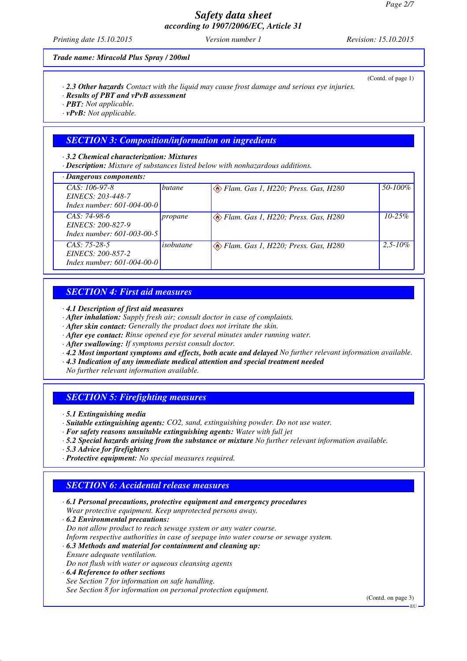*Printing date 15.10.2015 Version number 1 Revision: 15.10.2015*

(Contd. of page 1)

*Trade name: Miracold Plus Spray / 200ml*

- *· 2.3 Other hazards Contact with the liquid may cause frost damage and serious eye injuries.*
- *· Results of PBT and vPvB assessment*

*· PBT: Not applicable.*

*· vPvB: Not applicable.*

#### *SECTION 3: Composition/information on ingredients*

*· 3.2 Chemical characterization: Mixtures*

*· Description: Mixture of substances listed below with nonhazardous additions.*

|  | · Dangerous components: |
|--|-------------------------|
|--|-------------------------|

| · Dangerous components:                                                   |               |                                     |              |
|---------------------------------------------------------------------------|---------------|-------------------------------------|--------------|
| $CAS: 106-97-8$<br>EINECS: 203-448-7<br>Index number: 601-004-00-0        | <b>butane</b> | Elam. Gas 1, H220; Press. Gas, H280 | 50-100%      |
| $CAS: 74-98-6$<br>EINECS: 200-827-9<br>Index number: 601-003-00-5         | propane       | Elam. Gas 1, H220; Press. Gas, H280 | $10 - 25%$   |
| $CAS: 75-28-5$<br><i>EINECS: 200-857-2</i><br>Index number: 601-004-00-01 | isobutane     | Elam. Gas 1, H220; Press. Gas, H280 | $2.5 - 10\%$ |

### *SECTION 4: First aid measures*

*· 4.1 Description of first aid measures*

- *· After inhalation: Supply fresh air; consult doctor in case of complaints.*
- *· After skin contact: Generally the product does not irritate the skin.*
- *· After eye contact: Rinse opened eye for several minutes under running water.*
- *· After swallowing: If symptoms persist consult doctor.*
- *· 4.2 Most important symptoms and effects, both acute and delayed No further relevant information available.*
- *· 4.3 Indication of any immediate medical attention and special treatment needed*

*No further relevant information available.*

#### *SECTION 5: Firefighting measures*

- *· Suitable extinguishing agents: CO2, sand, extinguishing powder. Do not use water.*
- *· For safety reasons unsuitable extinguishing agents: Water with full jet*
- *· 5.2 Special hazards arising from the substance or mixture No further relevant information available.*
- *· 5.3 Advice for firefighters*
- *· Protective equipment: No special measures required.*

## *SECTION 6: Accidental release measures*

- *· 6.1 Personal precautions, protective equipment and emergency procedures Wear protective equipment. Keep unprotected persons away. · 6.2 Environmental precautions: Do not allow product to reach sewage system or any water course.*
- *Inform respective authorities in case of seepage into water course or sewage system.*
- *· 6.3 Methods and material for containment and cleaning up: Ensure adequate ventilation.*
- *Do not flush with water or aqueous cleansing agents*
- *· 6.4 Reference to other sections See Section 7 for information on safe handling. See Section 8 for information on personal protection equipment.*

(Contd. on page 3)

*<sup>·</sup> 5.1 Extinguishing media*

EU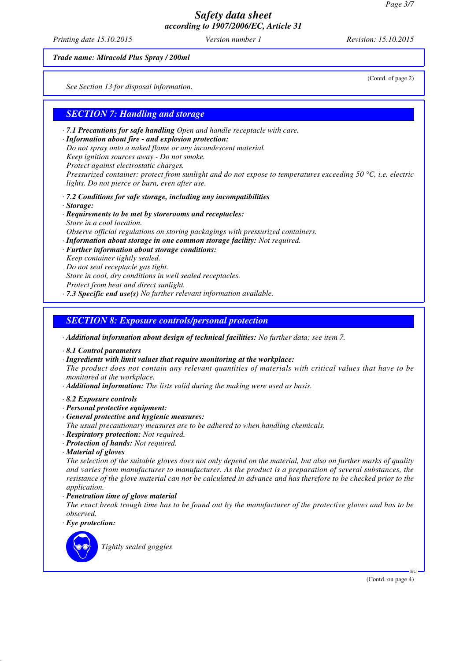*Printing date 15.10.2015 Version number 1 Revision: 15.10.2015*

(Contd. of page 2)

*Trade name: Miracold Plus Spray / 200ml*

*See Section 13 for disposal information.*

## *SECTION 7: Handling and storage*

- *· 7.1 Precautions for safe handling Open and handle receptacle with care.*
- *· Information about fire and explosion protection: Do not spray onto a naked flame or any incandescent material. Keep ignition sources away - Do not smoke. Protect against electrostatic charges. Pressurized container: protect from sunlight and do not expose to temperatures exceeding 50 °C, i.e. electric lights. Do not pierce or burn, even after use.*
- *· 7.2 Conditions for safe storage, including any incompatibilities*
- *· Storage:*
- *· Requirements to be met by storerooms and receptacles: Store in a cool location. Observe official regulations on storing packagings with pressurized containers. · Information about storage in one common storage facility: Not required.*
- *· Further information about storage conditions: Keep container tightly sealed. Do not seal receptacle gas tight. Store in cool, dry conditions in well sealed receptacles. Protect from heat and direct sunlight. · 7.3 Specific end use(s) No further relevant information available.*
- *SECTION 8: Exposure controls/personal protection*
- *· Additional information about design of technical facilities: No further data; see item 7.*
- *· 8.1 Control parameters*
- *· Ingredients with limit values that require monitoring at the workplace:*

*The product does not contain any relevant quantities of materials with critical values that have to be monitored at the workplace.*

- *· Additional information: The lists valid during the making were used as basis.*
- *· 8.2 Exposure controls*
- *· Personal protective equipment:*
- *· General protective and hygienic measures:*
- *The usual precautionary measures are to be adhered to when handling chemicals.*
- *· Respiratory protection: Not required.*
- *· Protection of hands: Not required.*
- *· Material of gloves*

*The selection of the suitable gloves does not only depend on the material, but also on further marks of quality and varies from manufacturer to manufacturer. As the product is a preparation of several substances, the resistance of the glove material can not be calculated in advance and has therefore to be checked prior to the application.*

- *· Penetration time of glove material*
- *The exact break trough time has to be found out by the manufacturer of the protective gloves and has to be observed.*
- *· Eye protection:*



*Tightly sealed goggles*

(Contd. on page 4)

EU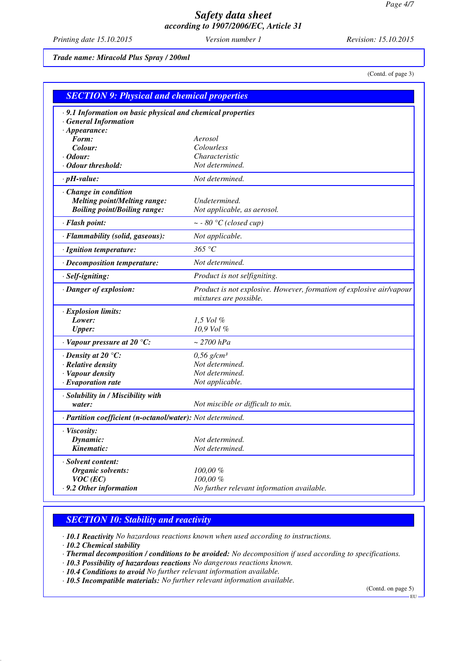*Printing date 15.10.2015 Version number 1 Revision: 15.10.2015*

*Trade name: Miracold Plus Spray / 200ml*

(Contd. of page 3)

| <b>SECTION 9: Physical and chemical properties</b>                                                |                                                                                                |  |
|---------------------------------------------------------------------------------------------------|------------------------------------------------------------------------------------------------|--|
| · 9.1 Information on basic physical and chemical properties<br><b>General Information</b>         |                                                                                                |  |
| $\cdot$ Appearance:                                                                               |                                                                                                |  |
| Form:<br>Colour:                                                                                  | Aerosol<br>Colourless                                                                          |  |
| · Odour:                                                                                          | Characteristic                                                                                 |  |
| · Odour threshold:                                                                                | Not determined.                                                                                |  |
| $\cdot$ pH-value:                                                                                 | Not determined.                                                                                |  |
|                                                                                                   |                                                                                                |  |
| Change in condition<br><b>Melting point/Melting range:</b><br><b>Boiling point/Boiling range:</b> | Undetermined.<br>Not applicable, as aerosol.                                                   |  |
| · Flash point:                                                                                    | $\sim$ - 80 °C (closed cup)                                                                    |  |
| · Flammability (solid, gaseous):                                                                  | Not applicable.                                                                                |  |
| · Ignition temperature:                                                                           | 365 °C                                                                                         |  |
| · Decomposition temperature:                                                                      | Not determined.                                                                                |  |
| · Self-igniting:                                                                                  | Product is not selfigniting.                                                                   |  |
| · Danger of explosion:                                                                            | Product is not explosive. However, formation of explosive air/vapour<br>mixtures are possible. |  |
| · Explosion limits:                                                                               |                                                                                                |  |
| Lower:                                                                                            | $1,5$ Vol %                                                                                    |  |
| <b>Upper:</b>                                                                                     | 10,9 Vol %                                                                                     |  |
| $\cdot$ Vapour pressure at 20 °C:                                                                 | $\sim$ 2700 hPa                                                                                |  |
| $\cdot$ Density at 20 °C:                                                                         | $0,56$ g/cm <sup>3</sup>                                                                       |  |
| · Relative density                                                                                | Not determined.                                                                                |  |
| · Vapour density                                                                                  | Not determined.                                                                                |  |
| $\cdot$ Evaporation rate                                                                          | Not applicable.                                                                                |  |
| · Solubility in / Miscibility with<br>water:                                                      | Not miscible or difficult to mix.                                                              |  |
| · Partition coefficient (n-octanol/water): Not determined.                                        |                                                                                                |  |
| · Viscosity:                                                                                      |                                                                                                |  |
| Dynamic:                                                                                          | Not determined.                                                                                |  |
| Kinematic:                                                                                        | Not determined.                                                                                |  |
| · Solvent content:                                                                                |                                                                                                |  |
| Organic solvents:                                                                                 | $100,00\%$                                                                                     |  |
| $VOC$ (EC)                                                                                        | 100,00%                                                                                        |  |
| · 9.2 Other information                                                                           | No further relevant information available.                                                     |  |

## *SECTION 10: Stability and reactivity*

*· 10.1 Reactivity No hazardous reactions known when used according to instructions.*

*· 10.2 Chemical stability*

*· Thermal decomposition / conditions to be avoided: No decomposition if used according to specifications.*

- *· 10.3 Possibility of hazardous reactions No dangerous reactions known.*
- *· 10.4 Conditions to avoid No further relevant information available.*
- *· 10.5 Incompatible materials: No further relevant information available.*

(Contd. on page 5)

EU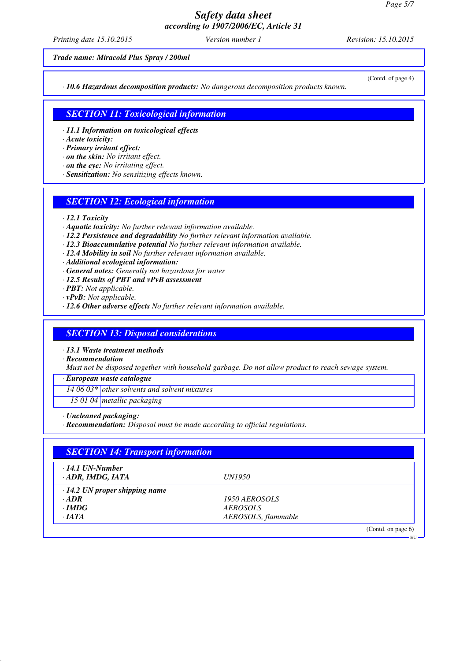*Printing date 15.10.2015 Version number 1 Revision: 15.10.2015*

*Trade name: Miracold Plus Spray / 200ml*

*· 10.6 Hazardous decomposition products: No dangerous decomposition products known.*

(Contd. of page 4)

## *SECTION 11: Toxicological information*

*· 11.1 Information on toxicological effects*

*· Acute toxicity:*

*· Primary irritant effect:*

- *· on the skin: No irritant effect.*
- *· on the eye: No irritating effect.*
- *· Sensitization: No sensitizing effects known.*

### *SECTION 12: Ecological information*

- *· 12.1 Toxicity*
- *· Aquatic toxicity: No further relevant information available.*
- *· 12.2 Persistence and degradability No further relevant information available.*
- *· 12.3 Bioaccumulative potential No further relevant information available.*
- *· 12.4 Mobility in soil No further relevant information available.*

*· Additional ecological information:*

- *· General notes: Generally not hazardous for water*
- *· 12.5 Results of PBT and vPvB assessment*
- *· PBT: Not applicable.*
- *· vPvB: Not applicable.*
- *· 12.6 Other adverse effects No further relevant information available.*

#### *SECTION 13: Disposal considerations*

*· 13.1 Waste treatment methods*

*· Recommendation*

*Must not be disposed together with household garbage. Do not allow product to reach sewage system.*

*· European waste catalogue*

*14 06 03\* other solvents and solvent mixtures*

*15 01 04 metallic packaging*

*· Uncleaned packaging:*

*· Recommendation: Disposal must be made according to official regulations.*

| $\cdot$ 14.1 UN-Number               |                     |  |
|--------------------------------------|---------------------|--|
| $\cdot$ ADR, IMDG, IATA              | <i>UN1950</i>       |  |
| $\cdot$ 14.2 UN proper shipping name |                     |  |
| $\cdot$ ADR                          | 1950 AEROSOLS       |  |
| $\cdot$ IMDG                         | <b>AEROSOLS</b>     |  |
| $\cdot$ JATA                         | AEROSOLS, flammable |  |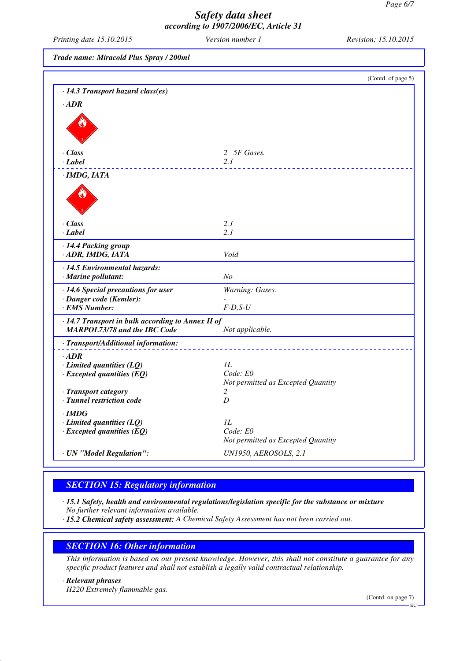*Printing date 15.10.2015 Version number 1 Revision: 15.10.2015*

*Trade name: Miracold Plus Spray / 200ml*

|                                                                      | (Contd. of page 5)                 |
|----------------------------------------------------------------------|------------------------------------|
| · 14.3 Transport hazard class(es)                                    |                                    |
| $\cdot$ ADR                                                          |                                    |
|                                                                      |                                    |
|                                                                      |                                    |
|                                                                      |                                    |
|                                                                      |                                    |
| · Class<br>· Label                                                   | 2 5F Gases.<br>2.1                 |
|                                                                      |                                    |
| · IMDG, IATA                                                         |                                    |
|                                                                      |                                    |
|                                                                      |                                    |
|                                                                      |                                    |
| · Class                                                              | 2.1                                |
| · Label                                                              | 2.1                                |
| · 14.4 Packing group                                                 |                                    |
| · ADR, IMDG, IATA                                                    | Void                               |
|                                                                      |                                    |
| $\cdot$ 14.5 Environmental hazards:<br>· Marine pollutant:           | N <sub>O</sub>                     |
|                                                                      |                                    |
| $\cdot$ 14.6 Special precautions for user<br>· Danger code (Kemler): | Warning: Gases.                    |
| · EMS Number:                                                        | $F-D, S-U$                         |
| · 14.7 Transport in bulk according to Annex II of                    |                                    |
| <b>MARPOL73/78 and the IBC Code</b>                                  | Not applicable.                    |
|                                                                      |                                    |
| · Transport/Additional information:                                  |                                    |
| $-ADR$                                                               | 1L                                 |
| $\cdot$ Limited quantities (LQ)<br>$\cdot$ Excepted quantities (EQ)  | Code: E0                           |
|                                                                      | Not permitted as Excepted Quantity |
| · Transport category                                                 | 2                                  |
| · Tunnel restriction code                                            | D                                  |
| · IMDG                                                               |                                    |
| $\cdot$ Limited quantities (LQ)                                      | IL                                 |
| $\cdot$ Excepted quantities (EQ)                                     | Code: E0                           |
|                                                                      | Not permitted as Excepted Quantity |
| · UN "Model Regulation":                                             | <b>UN1950, AEROSOLS, 2.1</b>       |

## *SECTION 15: Regulatory information*

*· 15.1 Safety, health and environmental regulations/legislation specific for the substance or mixture No further relevant information available.*

*· 15.2 Chemical safety assessment: A Chemical Safety Assessment has not been carried out.*

#### *SECTION 16: Other information*

*This information is based on our present knowledge. However, this shall not constitute a guarantee for any specific product features and shall not establish a legally valid contractual relationship.*

*· Relevant phrases*

*H220 Extremely flammable gas.*

(Contd. on page 7)

EU